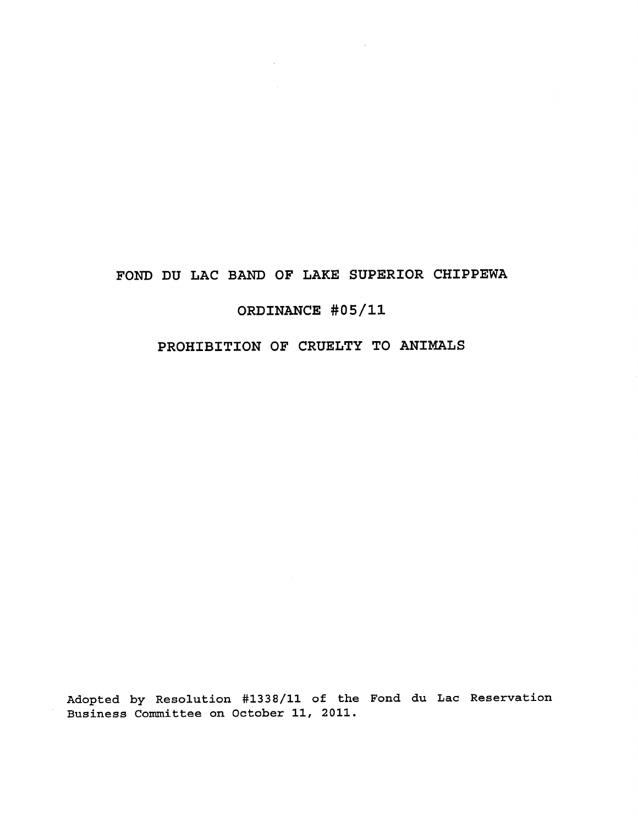# **FOND DU LAC BAND OF LAKE SUPERIOR CHIPPEWA**

 $\sim$   $\sim$ 

# **ORDINANCE #05/11**

# **PROHIBITION OF CRUELTY TO ANIMALS**

Adopted by Resolution #1338/11 of the Fond du Lac Reservation Business Committee on October 11, 2011.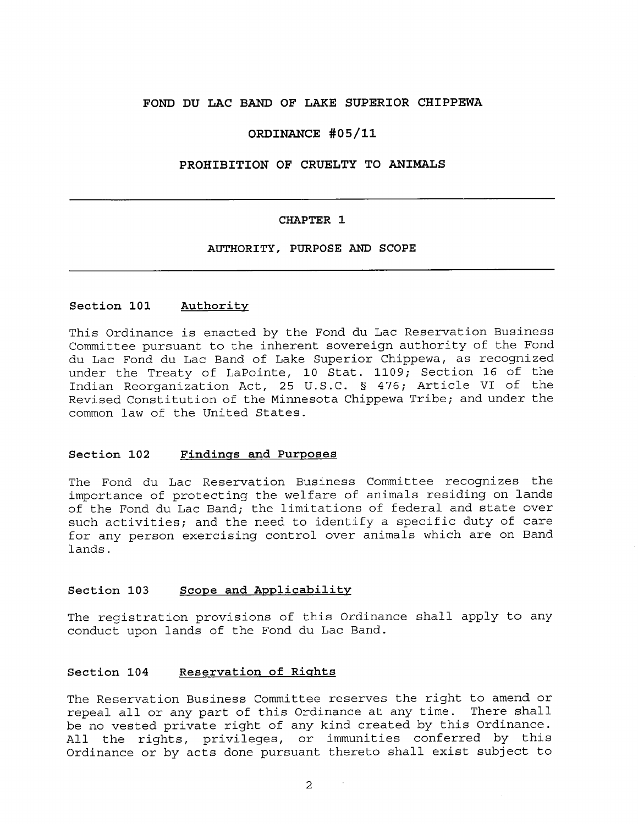# **FOND DU LAC BAND OF LAKE SUPERIOR CHIPPEWA**

### **ORDINANCE #05/11**

# **PROHIBITION OF CRUELTY TO ANIMALS**

#### **CHAPTER 1**

# **AUTHORITY, PURPOSE AND SCOPE**

#### **Section 101 Authority**

This Ordinance is enacted by the Fond du Lac Reservation Business Committee pursuant to the inherent sovereign authority of the Fond du Lac Fond du Lac Band of Lake Superior Chippewa, as recognized under the Treaty of LaPointe, 10 Stat. 1109; Section 16 of the Indian Reorganization Act, 25 U.S.C. § 476; Article VI of the Revised Constitution of the Minnesota Chippewa Tribe; and under the common law of the United States.

#### **Section 102 Findings and Purposes**

The Fond du Lac Reservation Business Committee recognizes the importance of protecting the welfare of animals residing on lands of the Fond du Lac Band; the limitations of federal and state over such activities; and the need to identify a specific duty of care for any person exercising control over animals which are on Band lands.

# **Section 103 Scope and Applicability**

The registration provisions of this Ordinance shall apply to any conduct upon lands of the Fond du Lac Band.

#### **Section 104 Reservation of Rights**

The Reservation Business Committee reserves the right to amend or repeal all or any part of this Ordinance at any time. There shall be no vested private right of any kind created by this Ordinance. All the rights, privileges, or immunities conferred by this Ordinance or by acts done pursuant thereto shall exist subject to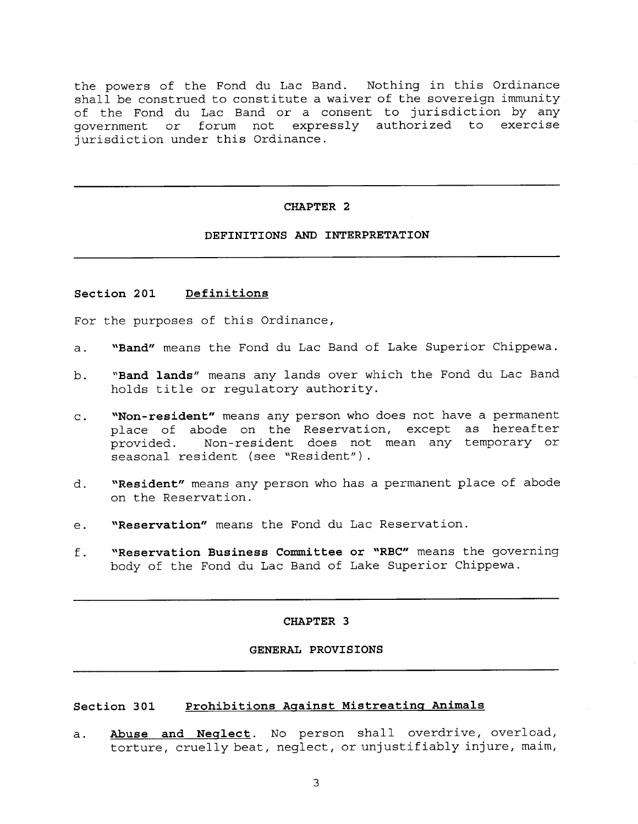the powers of the Fond du Lac Band. Nothing in this Ordinance shall be construed to constitute a waiver of the sovereign immunity of the Fond du Lac Band or a consent to jurisdiction by any government or forum not expressly authorized to exercise jurisdiction under this Ordinance.

#### **CHAPTER 2**

# **DEFINITIONS AND INTERPRETATION**

#### **Section 201 Definitions**

For the purposes of this Ordinance,

- **a. "Band"** means the Fond du Lac Band of Lake Superior Chippewa.
- **b. "Band lands"** means any lands over which the Fond du Lac Band holds title or regulatory authority.
- **c. "Non-resident"** means any person who does not have a permanent place of abode on the Reservation, except as hereafter provided. Non-resident does not mean any temporary or seasonal resident (see "Resident").
- **d. "Resident"** means any person who has a permanent place of abode on the Reservation.
- **e. "Reservation"** means the Fond du Lac Reservation.
- **f. "Reservation Business Committee or "RBC"** means the governing body of the Fond du Lac Band of Lake Superior Chippewa.

#### **CHAPTER 3**

## **GENERAL PROVISIONS**

# **Section 301 Prohibitions Against Mistreating Animals**

a. **Abuse and Neglect.** No person shall overdrive, overload, torture, cruelly beat, neglect, or unjustifiably injure, maim,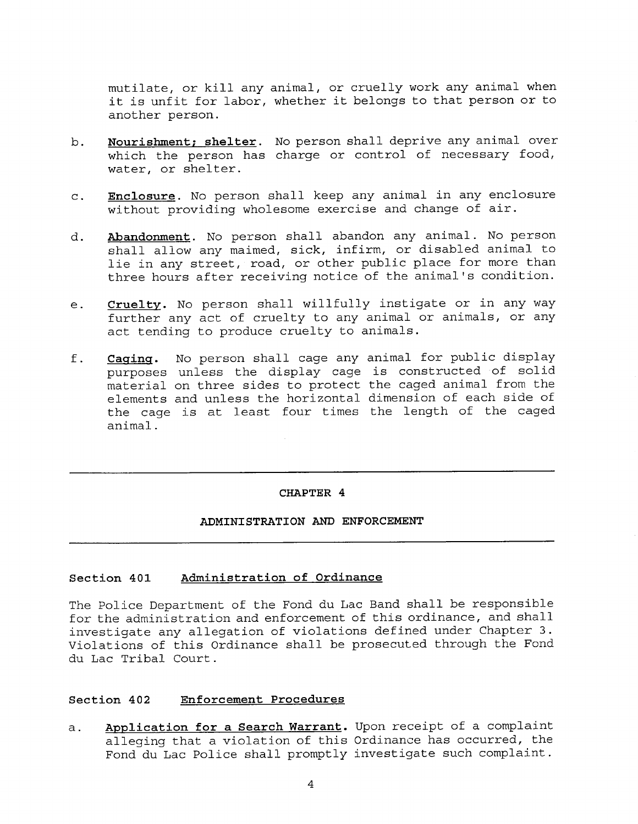mutilate, or kill any animal, or cruelly work any animal when it is unfit for labor, whether it belongs to that person or to another person.

- **b. Nourishment; shelter.** No person shall deprive any animal over which the person has charge or control of necessary food, water, or shelter.
- **c. Enclosure.** No person shall keep any animal in any enclosure without providing wholesome exercise and change of air.
- **d. Abandonment.** No person shall abandon any animal. No person shall allow any maimed, sick, infirm, or disabled animal to lie in any street, road, or other public place for more than three hours after receiving notice of the animal's condition.
- **e. Cruelty.** No person shall willfully instigate or in any way further any act of cruelty to any animal or animals, or any act tending to produce cruelty to animals.
- **f. Caging.** No person shall cage any animal for public display purposes unless the display cage is constructed of solid material on three sides to protect the caged animal from the elements and unless the horizontal dimension of each side of the cage is at least four times the length of the caged animal.

#### **CHAPTER 4**

# **ADMINISTRATION AND ENFORCEMENT**

# **Section 401 Administration of Ordinance**

The Police Department of the Fond du Lac Band shall be responsible for the administration and enforcement of this ordinance, and shall investigate any allegation of violations defined under Chapter 3. Violations of this Ordinance shall be prosecuted through the Fond du Lac Tribal Court.

# **Section 402 Enforcement Procedures**

a. **Application for a Search Warrant.** Upon receipt of a complaint alleging that a violation of this Ordinance has occurred, the Fond du Lac Police shall promptly investigate such complaint.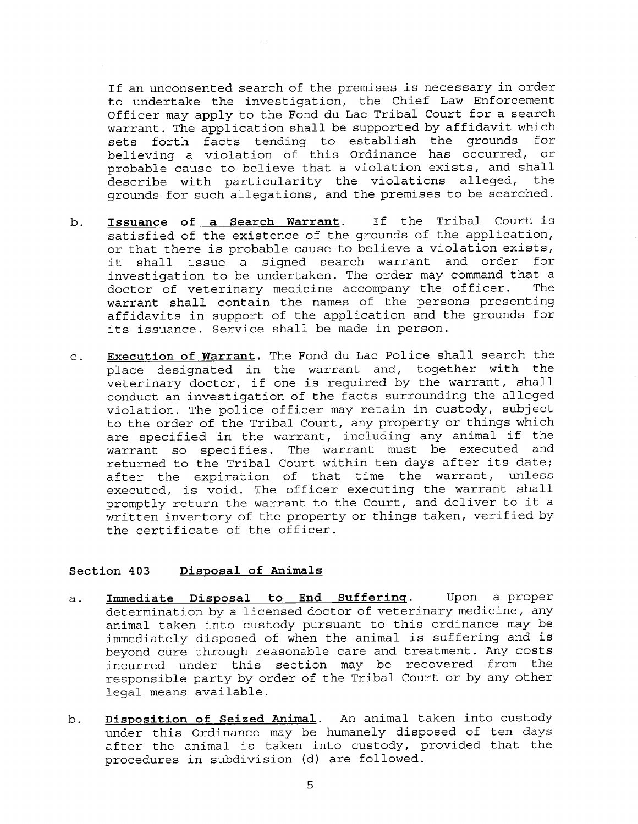If an unconsented search of the premises is necessary in order to undertake the investigation, the Chief Law Enforcement Officer may apply to the Fond du Lac Tribal Court for a search warrant. The application shall be supported by affidavit which sets forth facts tending to establish the grounds for believing a violation of this Ordinance has occurred, or probable cause to believe that a violation exists, and shall describe with particularity the violations alleged, the grounds for such allegations, and the premises to be searched.

- **b. Issuance of a Search Warrant.** If the Tribal Court **is** satisfied of the existence of the grounds of the application, or that there **is** probable cause to believe a violation exists, it shall issue **a** signed search warrant and order for investigation to be undertaken. The order may command that a doctor of veterinary medicine accompany the officer. The warrant shall contain the names of the persons presenting affidavits in support of the application and the grounds for its issuance. Service shall be made in person.
- **c. Execution of Warrant.** The Fond du Lac Police shall search the place designated in the warrant and, together with the veterinary doctor, if one **is** required by the warrant, shall conduct an investigation of the facts surrounding the alleged violation. The police officer may retain in custody, subject to the order of the Tribal Court, any property **or** things which are specified in the warrant, including any animal if the warrant so specifies. The warrant must be executed and returned to the Tribal Court within ten days after its date; after the expiration of that time the warrant, unless executed, **is** void. The officer executing the warrant shall promptly return the warrant to the Court, and deliver to it a written inventory of the property or things taken, verified by the certificate of the officer.

#### **Section 403 Disposal of Animals**

- **a. Immediate Disposal to End Suffering.** Upon a proper determination by a licensed doctor of veterinary medicine, any animal taken into custody pursuant to this ordinance may be immediately disposed of when the animal is suffering and is beyond cure through reasonable care and treatment. Any costs incurred under this section may be recovered from the responsible party by order of the Tribal Court or by any other legal means available.
- **b. Disposition of Seized Animal.** An animal taken into custody under this Ordinance may be humanely disposed of ten days after the animal **is** taken into custody, provided that the procedures in subdivision (d) are followed.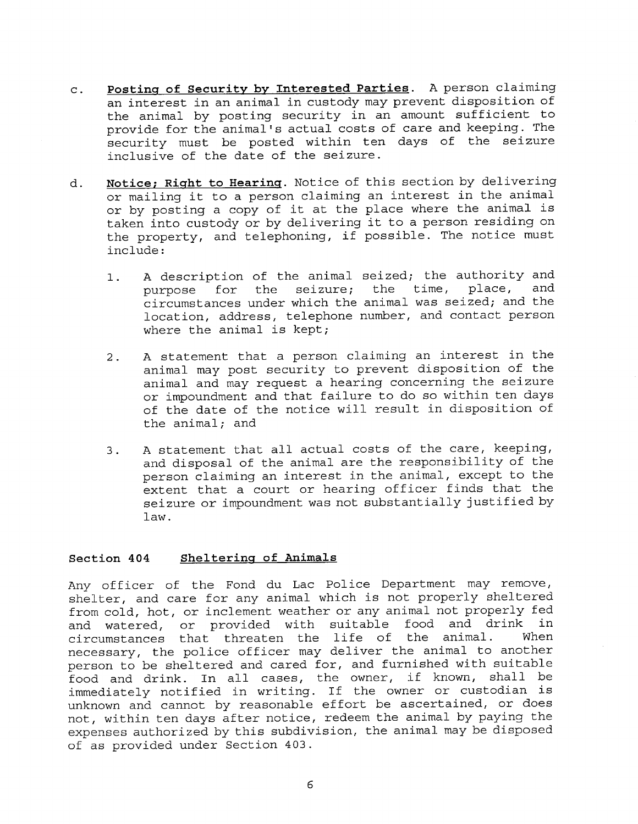- **c. Posting of Security by Interested Parties.** A person claiming an interest in an animal in custody may prevent disposition of the animal by posting security in an amount sufficient to provide for the animal's actual costs of care and keeping. The security must be posted within ten days of the seizure inclusive of the date of the seizure.
- **d. Notice; Right to Hearing.** Notice of this section by delivering or mailing it to a person claiming an interest in the animal or by posting a copy of it at the place where the animal is taken into custody or by delivering it to a person residing on the property, and telephoning, if possible. The notice must include:
	- 1. A description of the animal seized; the authority and<br>nurnose for the seizure: the time, place, and purpose for the seizure; the time, circumstances under which the animal was seized; and the location, address, telephone number, and contact person where the animal is kept;
	- 2. A statement that a person claiming an interest in the animal may post security to prevent disposition of the animal and may request a hearing concerning the seizure or impoundment and that failure to do so within ten days of the date of the notice will result in disposition of the animal; and
	- 3. A statement that all actual costs of the care, keeping, and disposal of the animal are the responsibility of the person claiming an interest in the animal, except to the extent that a court or hearing officer finds that the seizure or impoundment was not substantially justified by law.

# **Section 404 Sheltering of Animals**

Any officer of the Fond du Lac Police Department may remove, shelter, and care for any animal which is not properly sheltered from cold, hot, or inclement weather or any animal not properly fed and watered, or provided with suitable food and drink in<br>circumstances that threaten the life of the animal. When circumstances that threaten the life of the animal. necessary, the police officer may deliver the animal to another person to be sheltered and cared for, and furnished with suitable food and drink. In all cases, the owner, if known, shall be immediately notified in writing. If the owner or custodian is unknown and cannot by reasonable effort be ascertained, or does not, within ten days after notice, redeem the animal by paying the expenses authorized by this subdivision, the animal may be disposed of as provided under Section 403.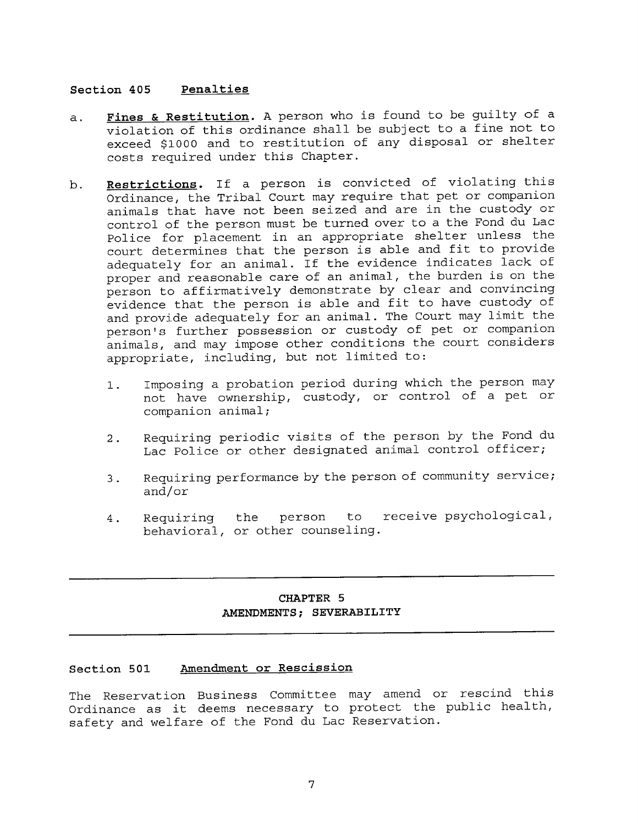## **Section 405 Penalties**

- **a. Fines** & **Restitution.** A person who is found to be guilty of a violation of this ordinance shall be subject to a fine not to exceed \$1000 and to restitution of any disposal or shelter costs required under this Chapter.
- **b. Restrictions.** If a person is convicted of violating this Ordinance, the Tribal Court may require that pet or companion animals that have not been seized and are in the custody or control of the person must be turned over to a the Fond du Lac Police for placement in an appropriate shelter unless the court determines that the person is able and fit to provide adequately for an animal. If the evidence indicates lack of proper and reasonable care of an animal, the burden is on the person to affirmatively demonstrate by clear and convincing evidence that the person is able and fit to have custody of and provide adequately for an animal. The Court may limit the person's further possession or custody of pet or companion animals, and may impose other conditions the court considers appropriate, including, but not limited to:
	- 1. Imposing a probation period during which the person may not have ownership, custody, or control of a pet or companion animal;
	- 2. Requiring periodic visits of the person by the Fond du Lac Police or other designated animal control officer;
	- 3. Requiring performance by the person of community service; and/or
	- 4. Requiring the person to receive psychological, behavioral, or other counseling.

# **CHAPTER 5 AMENDMENTS; SEVERABILITY**

# **Section 501 Amendment or Rescission**

The Reservation Business Committee may amend or rescind this Ordinance as it deems necessary to protect the public health, safety and welfare of the Fond du Lac Reservation.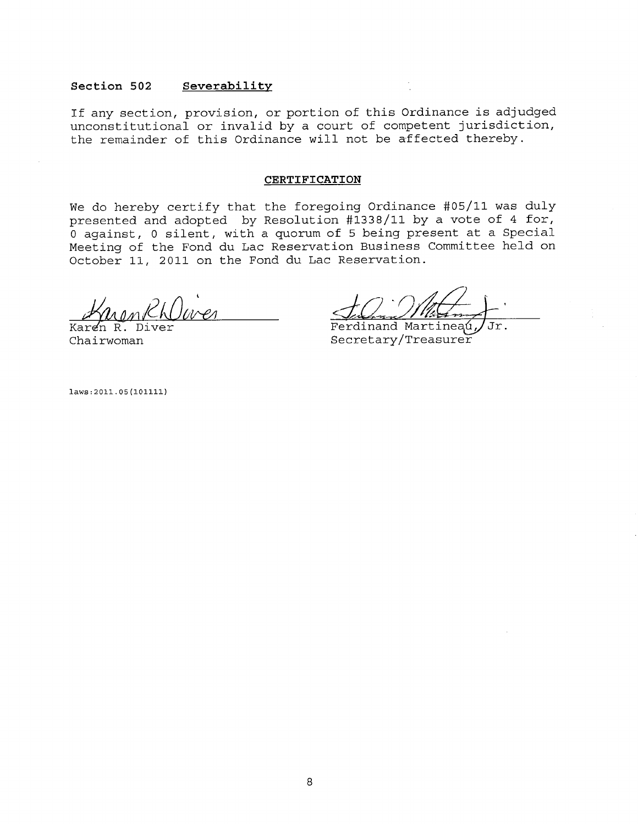#### **Section 502 Severability.**

If any section, provision, or portion of this Ordinance is adjudged unconstitutional or invalid by a court of competent jurisdiction, the remainder of this Ordinance will not be affected thereby.

#### **CERTIFICATION**

We do hereby certify that the foregoing Ordinance #05/11 was duly presented and adopted by Resolution #1338/11 by a vote of 4 for, 0 against, 0 silent, with a quorum of 5 being present at a Special Meeting of the Fond du Lac Reservation Business Committee held on October 11, 2011 on the Fond du Lac Reservation.

Karen R. Diver Chairwoman

Ferdinand Martineaú, JJr. Secretary/Treasurer

laws:2011.05(101111)